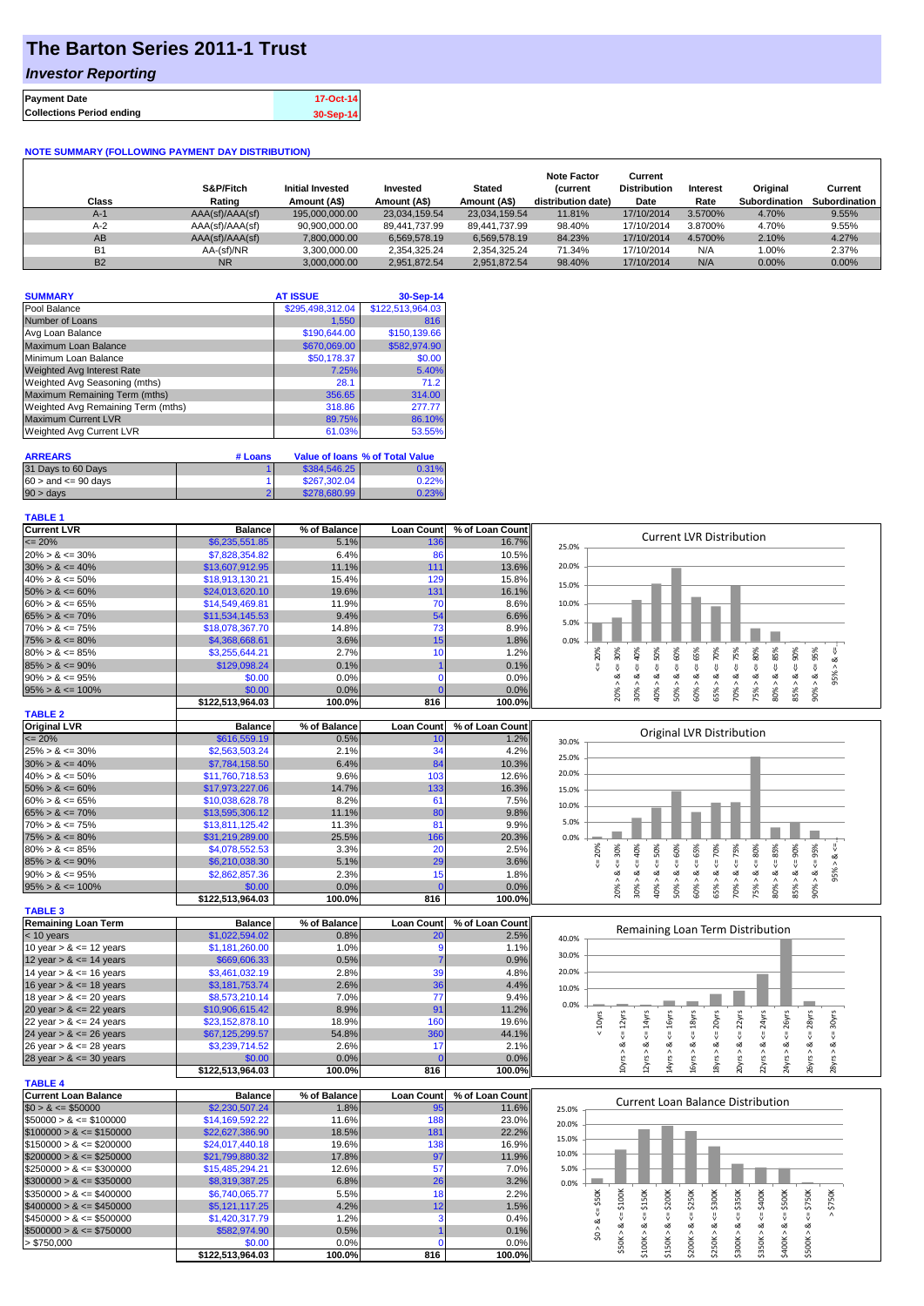## **The Barton Series 2011-1 Trust**

### *Investor Reporting*

| <b>Payment Date</b>              | 17-Oct-14 |
|----------------------------------|-----------|
| <b>Collections Period ending</b> | 30-Sep-14 |

#### **NOTE SUMMARY (FOLLOWING PAYMENT DAY DISTRIBUTION)**

| Class     | S&P/Fitch<br>Rating | <b>Initial Invested</b><br>Amount (A\$) | Invested<br>Amount (A\$) | <b>Stated</b><br>Amount (A\$) | <b>Note Factor</b><br><b>Current</b><br>distribution date) | Current<br><b>Distribution</b><br>Date | Interest<br>Rate | Original<br>Subordination | Current<br>Subordination |
|-----------|---------------------|-----------------------------------------|--------------------------|-------------------------------|------------------------------------------------------------|----------------------------------------|------------------|---------------------------|--------------------------|
| $A-1$     | AAA(sf)/AAA(sf)     | 195,000,000,00                          | 23,034,159.54            | 23,034,159.54                 | 11.81%                                                     | 17/10/2014                             | 3.5700%          | 4.70%                     | 9.55%                    |
| $A-2$     | AAA(sf)/AAA(sf)     | 90.900.000.00                           | 89.441.737.99            | 89.441.737.99                 | 98.40%                                                     | 17/10/2014                             | 3.8700%          | 4.70%                     | 9.55%                    |
| AB        | AAA(sf)/AAA(sf)     | 7.800.000.00                            | 6.569.578.19             | 6,569,578.19                  | 84.23%                                                     | 17/10/2014                             | 4.5700%          | 2.10%                     | 4.27%                    |
| <b>B1</b> | AA-(sf)/NR          | 3.300.000.00                            | 2.354.325.24             | 2.354.325.24                  | 71.34%                                                     | 17/10/2014                             | N/A              | 1.00%                     | 2.37%                    |
| <b>B2</b> | <b>NR</b>           | 3.000.000.00                            | 2.951.872.54             | 2,951,872.54                  | 98.40%                                                     | 17/10/2014                             | N/A              | $0.00\%$                  | 0.00%                    |

| <b>SUMMARY</b>                     | <b>AT ISSUE</b>  | 30-Sep-14        |
|------------------------------------|------------------|------------------|
| Pool Balance                       | \$295,498,312.04 | \$122,513,964.03 |
| Number of Loans                    | 1,550            | 816              |
| Avg Loan Balance                   | \$190,644.00     | \$150,139.66     |
| Maximum Loan Balance               | \$670,069.00     | \$582,974.90     |
| Minimum Loan Balance               | \$50,178.37      | \$0.00           |
| <b>Weighted Avg Interest Rate</b>  | 7.25%            | 5.40%            |
| Weighted Avg Seasoning (mths)      | 28.1             | 71.2             |
| Maximum Remaining Term (mths)      | 356.65           | 314.00           |
| Weighted Avg Remaining Term (mths) | 318.86           | 277.77           |
| <b>Maximum Current LVR</b>         | 89.75%           | 86.10%           |
| Weighted Avg Current LVR           | 61.03%           | 53.55%           |

| <b>ARREARS</b>            | # Loans |              | Value of Ioans % of Total Value |
|---------------------------|---------|--------------|---------------------------------|
| 31 Days to 60 Days        |         | \$384,546,25 | 0.31%                           |
| $60 >$ and $\leq 90$ days |         | \$267,302.04 | 0.22%                           |
| $90 > \text{days}$        |         | \$278,680.99 | 0.23%                           |

#### **TABLE 1**

| <b>Current LVR</b>                                                                     | <b>Balance</b>   | % of Balance | <b>Loan Count</b>  | % of Loan Count | <b>Current LVR Distribution</b>                                                                                                                                                                         |
|----------------------------------------------------------------------------------------|------------------|--------------|--------------------|-----------------|---------------------------------------------------------------------------------------------------------------------------------------------------------------------------------------------------------|
| $\epsilon = 20\%$                                                                      | \$6,235,551.85   | 5.1%         | 136                | 16.7%           | 25.0%                                                                                                                                                                                                   |
| $20\% > 8 \le 30\%$                                                                    | \$7,828,354.82   | 6.4%         | 86                 | 10.5%           |                                                                                                                                                                                                         |
| $30\% > 8 \le 40\%$                                                                    | \$13,607,912.95  | 11.1%        | 111                | 13.6%           | 20.0%                                                                                                                                                                                                   |
| $40\% > 8 \le 50\%$                                                                    | \$18,913,130.21  | 15.4%        | 129                | 15.8%           | 15.0%                                                                                                                                                                                                   |
| $50\% > 8 \le 60\%$                                                                    | \$24,013,620.10  | 19.6%        | 131                | 16.1%           |                                                                                                                                                                                                         |
| $60\% > 8 \le 65\%$                                                                    | \$14,549,469.81  | 11.9%        | 70                 | 8.6%            | 10.0%                                                                                                                                                                                                   |
| $65\% > 8 \le 70\%$                                                                    | \$11,534,145.53  | 9.4%         | 54                 | 6.6%            |                                                                                                                                                                                                         |
| $70\% > 8 \le 75\%$                                                                    | \$18,078,367.70  | 14.8%        | 73                 | 8.9%            | 5.0%                                                                                                                                                                                                    |
| $75\% > 8 \le 80\%$                                                                    | \$4,368,668.61   | 3.6%         | 15                 | 1.8%            | 0.0%                                                                                                                                                                                                    |
| $80\% > 8 \le 85\%$                                                                    | \$3,255,644.21   | 2.7%         | 10                 | 1.2%            | 70%<br>80%<br>₩                                                                                                                                                                                         |
| $85\% > 8 \le 90\%$                                                                    | \$129,098.24     | 0.1%         |                    | 0.1%            | $<=$ 30%<br>40%<br>$\le 60\%$<br>20%<br>90%<br>95%                                                                                                                                                      |
|                                                                                        |                  |              | $\Omega$           |                 | $<=65%$<br>$<=75%$<br>$<=85%$<br>$<=50%$<br>95% > 8<br>V<br>$\<=$<br>₩<br>V<br>ಹ<br>∞<br>ಹ<br>×<br>ø<br>ಹ                                                                                               |
| $90\% > 8 \le 95\%$                                                                    | \$0.00           | 0.0%         |                    | 0.0%            |                                                                                                                                                                                                         |
| $95\% > 8 \le 100\%$                                                                   | \$0.00           | 0.0%         | $\Omega$           | 0.0%            | 20% ><br>40% ><br>60% ><br>70% ><br>80%<br>85% ><br>$-800%$<br>$30\%$<br>50%<br>65% ><br>75% >                                                                                                          |
|                                                                                        | \$122,513,964.03 | 100.0%       | 816                | 100.0%          |                                                                                                                                                                                                         |
| <b>TABLE 2</b>                                                                         |                  |              |                    |                 |                                                                                                                                                                                                         |
| <b>Original LVR</b>                                                                    | <b>Balance</b>   | % of Balance | <b>Loan Count</b>  | % of Loan Count | Original LVR Distribution                                                                                                                                                                               |
| $= 20%$                                                                                | \$616,559.19     | 0.5%         | 10                 | 1.2%            | 30.0%                                                                                                                                                                                                   |
| $25\% > 8 \le 30\%$                                                                    | \$2,563,503.24   | 2.1%         | 34                 | 4.2%            | 25.0%                                                                                                                                                                                                   |
| $30\% > 8 \le 40\%$                                                                    | \$7,784,158.50   | 6.4%         | 84                 | 10.3%           |                                                                                                                                                                                                         |
| $40\% > 8 \le 50\%$                                                                    | \$11,760,718.53  | 9.6%         | 103                | 12.6%           | 20.0%                                                                                                                                                                                                   |
| $50\% > 8 \le 60\%$                                                                    | \$17,973,227.06  | 14.7%        | 133                | 16.3%           | 15.0%                                                                                                                                                                                                   |
| $60\% > 8 \le 65\%$                                                                    | \$10,038,628.78  | 8.2%         | 61                 | 7.5%            |                                                                                                                                                                                                         |
| $65\% > 8 \le 70\%$                                                                    | \$13,595,306.12  | 11.1%        | 80                 | 9.8%            | 10.0%                                                                                                                                                                                                   |
| $70\% > 8 \le 75\%$                                                                    | \$13,811,125.42  | 11.3%        | 81                 | 9.9%            | 5.0%                                                                                                                                                                                                    |
| $75\% > 8 \le 80\%$                                                                    | \$31,219,289.00  | 25.5%        | 166                | 20.3%           | 0.0%                                                                                                                                                                                                    |
| $80\% > 8 \le 85\%$                                                                    | \$4,078,552.53   | 3.3%         | 20                 | 2.5%            | 60%<br>70%<br>80%<br>20%                                                                                                                                                                                |
| $85\% > 8 \le 90\%$                                                                    | \$6,210,038.30   | 5.1%         | 29                 | 3.6%            | $\leq 85\%$<br>$<=65\%$<br>$4 = 75%$<br>$<= 90\%$<br>$4 = 30\%$<br>40%<br>$<=$ 50%<br>95% > 8 <                                                                                                         |
|                                                                                        |                  | 2.3%         | 15                 |                 | V<br>₹<br>₩<br>ઌૻ<br>ઌ<br>ઌ<br>ಷ<br>ಷ<br>ಷ<br>ಹ                                                                                                                                                         |
| $90\% > 8 \le 95\%$                                                                    | \$2,862,857.36   |              |                    | 1.8%            |                                                                                                                                                                                                         |
| $95\% > 8 \le 100\%$                                                                   | \$0.00           | 0.0%         | $\mathbf 0$        | 0.0%            | $90\% > 8 <= 95\%$<br>$70\% > 8$<br>$80\% > 8$<br>85% > 8.<br>20% ><br>40% ><br>60% ><br>65% ><br>75%<br>$30\%$ ><br>50% >                                                                              |
|                                                                                        |                  |              |                    |                 |                                                                                                                                                                                                         |
|                                                                                        | \$122,513,964.03 | 100.0%       | 816                | 100.0%          |                                                                                                                                                                                                         |
| <b>TABLE 3</b>                                                                         |                  |              |                    |                 |                                                                                                                                                                                                         |
| <b>Remaining Loan Term</b>                                                             | <b>Balance</b>   | % of Balance | <b>Loan Count</b>  | % of Loan Count |                                                                                                                                                                                                         |
| $<$ 10 years                                                                           | \$1,022,594.02   | 0.8%         | 20                 | 2.5%            | Remaining Loan Term Distribution<br>40.0%                                                                                                                                                               |
| 10 year $> 8 \le 12$ years                                                             | \$1,181,260.00   | 1.0%         | $\overline{9}$     | 1.1%            |                                                                                                                                                                                                         |
| 12 year $> 8 \le 14$ years                                                             | \$669,606.33     | 0.5%         |                    | 0.9%            | 30.0%                                                                                                                                                                                                   |
| 14 year $> 8 \le 16$ years                                                             | \$3,461,032.19   | 2.8%         | 39                 | 4.8%            | 20.0%                                                                                                                                                                                                   |
| 16 year $> 8 \le 18$ years                                                             | \$3,181,753.74   | 2.6%         | 36                 | 4.4%            |                                                                                                                                                                                                         |
| 18 year $> 8 \le 20$ years                                                             | \$8,573,210.14   | 7.0%         | 77                 | 9.4%            | 10.0%                                                                                                                                                                                                   |
| 20 year $> 8 \le 22$ years                                                             | \$10,906,615.42  | 8.9%         | 91                 | 11.2%           | 0.0%                                                                                                                                                                                                    |
| 22 year $> 8 \le 24$ years                                                             | \$23,152,878.10  | 18.9%        | 160                | 19.6%           |                                                                                                                                                                                                         |
| 24 year $> 8 \le 26$ years                                                             | \$67,125,299.57  | 54.8%        | 360                | 44.1%           | $< 10$ yrs                                                                                                                                                                                              |
|                                                                                        |                  |              |                    |                 | $\leq$ = 24yrs<br>$\leq$ = 26yrs<br>$\leq$ = 28 $yrs$<br>$\leq 16$ yrs<br>$\leq$ = 18 $yrs$<br>$\leq$ = 20 $\gamma$ rs<br>$\leq$ = 22 $\gamma$ rs<br>$\leq$ = 30 $\gamma$ rs<br>$\leq$ = 14 $\gamma$ rs |
| 26 year $> 8 \le 28$ years                                                             | \$3,239,714.52   | 2.6%         | 17<br>$\mathbf{C}$ | 2.1%            |                                                                                                                                                                                                         |
| 28 year $> 8 \le 30$ years                                                             | \$0.00           | 0.0%         |                    | 0.0%            | $10yrs > 8c = 12yrs$<br>2yrs > 8<br>4yrs > 8<br>6yrs > 8<br>18yrs > 8.<br>24yrs > 8                                                                                                                     |
|                                                                                        | \$122,513,964.03 | 100.0%       | 816                | 100.0%          | 22yrs > 8<br>26yrs > 8<br>28yrs > 8<br>20yrs > 8                                                                                                                                                        |
| <b>TABLE 4</b>                                                                         |                  |              |                    |                 |                                                                                                                                                                                                         |
| <b>Current Loan Balance</b>                                                            | <b>Balance</b>   | % of Balance | <b>Loan Count</b>  | % of Loan Count | <b>Current Loan Balance Distribution</b>                                                                                                                                                                |
| $$0 > 8 \leq $50000$                                                                   | \$2,230,507.24   | 1.8%         | 95                 | 11.6%           | 25.0%                                                                                                                                                                                                   |
| $$50000 > 8 \le $100000$                                                               | \$14,169,592.22  | 11.6%        | 188                | 23.0%           | 20.0%                                                                                                                                                                                                   |
| $$100000 > 8 \leq $150000$                                                             | \$22,627,386.90  | 18.5%        | 181                | 22.2%           | 15.0%                                                                                                                                                                                                   |
| $$150000 > 8 \leq $200000$                                                             | \$24,017,440.18  | 19.6%        | 138                | 16.9%           |                                                                                                                                                                                                         |
|                                                                                        | \$21,799,880.32  | 17.8%        | 97                 | 11.9%           | 10.0%                                                                                                                                                                                                   |
|                                                                                        | \$15,485,294.21  | 12.6%        | 57                 | 7.0%            | 5.0%                                                                                                                                                                                                    |
| $$300000 > 8 \leq $350000$                                                             | \$8,319,387.25   | 6.8%         | 26                 | 3.2%            | 0.0%                                                                                                                                                                                                    |
| $$200000 > 8 \leq $250000$<br>$$250000 > 8 \leq $300000$<br>$$350000 > 8 \leq $400000$ | \$6,740,065.77   | 5.5%         | 18                 | 2.2%            |                                                                                                                                                                                                         |
| $$400000 > 8 \leq $450000$                                                             | \$5,121,117.25   | 4.2%         | 12                 | 1.5%            | \$400K                                                                                                                                                                                                  |
| $$450000 > 8 \leq $500000$                                                             | \$1,420,317.79   | 1.2%         | 3                  | 0.4%            | $4 = $300K$<br>$4 = $350K$<br>$4 = $500K$<br>> \$750K<br>$4 = $50K$<br>∛                                                                                                                                |
| $$500000 > 8 \leq $750000$                                                             | \$582,974.90     | 0.5%         |                    | 0.1%            | જ                                                                                                                                                                                                       |
| > \$750,000                                                                            | \$0.00           | 0.0%         | $\mathbf 0$        | 0.0%            | $$150K > 8 <= $200K$$<br>$$200K > 8 \le $250K$<br>$$50K > 8 <= $100K$<br>$$100K > 8 <= $150K$<br>$$500K > 8 <= $750K$<br>\$0 > 8<br>\$250K > 8<br>\$300K > 8<br>\$400K > 8<br>\$350K>                   |